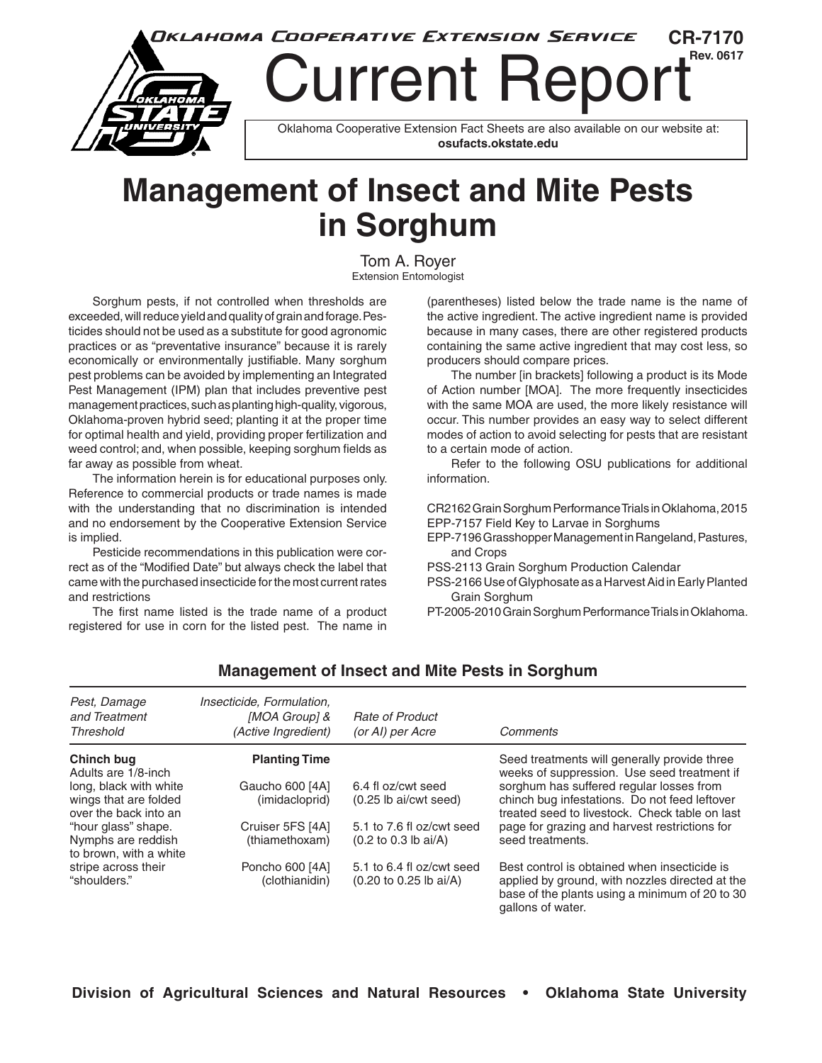

## **Management of Insect and Mite Pests in Sorghum**

Tom A. Royer Extension Entomologist

Sorghum pests, if not controlled when thresholds are exceeded, will reduce yield and quality of grain and forage. Pesticides should not be used as a substitute for good agronomic practices or as "preventative insurance" because it is rarely economically or environmentally justifiable. Many sorghum pest problems can be avoided by implementing an Integrated Pest Management (IPM) plan that includes preventive pest management practices, such as planting high-quality, vigorous, Oklahoma-proven hybrid seed; planting it at the proper time for optimal health and yield, providing proper fertilization and weed control; and, when possible, keeping sorghum fields as far away as possible from wheat.

The information herein is for educational purposes only. Reference to commercial products or trade names is made with the understanding that no discrimination is intended and no endorsement by the Cooperative Extension Service is implied.

Pesticide recommendations in this publication were correct as of the "Modified Date" but always check the label that came with the purchased insecticide for the most current rates and restrictions

The first name listed is the trade name of a product registered for use in corn for the listed pest. The name in

(parentheses) listed below the trade name is the name of the active ingredient. The active ingredient name is provided because in many cases, there are other registered products containing the same active ingredient that may cost less, so producers should compare prices.

The number [in brackets] following a product is its Mode of Action number [MOA]. The more frequently insecticides with the same MOA are used, the more likely resistance will occur. This number provides an easy way to select different modes of action to avoid selecting for pests that are resistant to a certain mode of action.

Refer to the following OSU publications for additional information.

CR2162 Grain Sorghum Performance Trials in Oklahoma, 2015 EPP-7157 Field Key to Larvae in Sorghums

EPP-7196 Grasshopper Management in Rangeland, Pastures, and Crops

PSS-2113 Grain Sorghum Production Calendar

PSS-2166 Use of Glyphosate as a Harvest Aid in Early Planted Grain Sorghum

PT-2005-2010 Grain Sorghum Performance Trials in Oklahoma.

| Pest, Damage<br>and Treatment<br><b>Threshold</b>                        | Insecticide, Formulation,<br>[MOA Group] &<br>(Active Ingredient) | <b>Rate of Product</b><br>(or AI) per Acre                                     | Comments                                                                                                                                                               |
|--------------------------------------------------------------------------|-------------------------------------------------------------------|--------------------------------------------------------------------------------|------------------------------------------------------------------------------------------------------------------------------------------------------------------------|
| <b>Chinch bug</b><br>Adults are 1/8-inch                                 | <b>Planting Time</b>                                              |                                                                                | Seed treatments will generally provide three<br>weeks of suppression. Use seed treatment if                                                                            |
| long, black with white<br>wings that are folded<br>over the back into an | Gaucho 600 [4A]<br>(imidacloprid)                                 | 6.4 fl oz/cwt seed<br>$(0.25$ lb ai/cwt seed)                                  | sorghum has suffered regular losses from<br>chinch bug infestations. Do not feed leftover<br>treated seed to livestock. Check table on last                            |
| "hour glass" shape.<br>Nymphs are reddish<br>to brown, with a white      | Cruiser 5FS [4A]<br>(thiamethoxam)                                | 5.1 to 7.6 fl oz/cwt seed<br>$(0.2 \text{ to } 0.3 \text{ lb } \text{ai/A})$   | page for grazing and harvest restrictions for<br>seed treatments.                                                                                                      |
| stripe across their<br>"shoulders."                                      | Poncho 600 [4A]<br>(clothianidin)                                 | 5.1 to 6.4 fl oz/cwt seed<br>$(0.20 \text{ to } 0.25 \text{ lb } \text{ai/A})$ | Best control is obtained when insecticide is<br>applied by ground, with nozzles directed at the<br>base of the plants using a minimum of 20 to 30<br>gallons of water. |

## **Management of Insect and Mite Pests in Sorghum**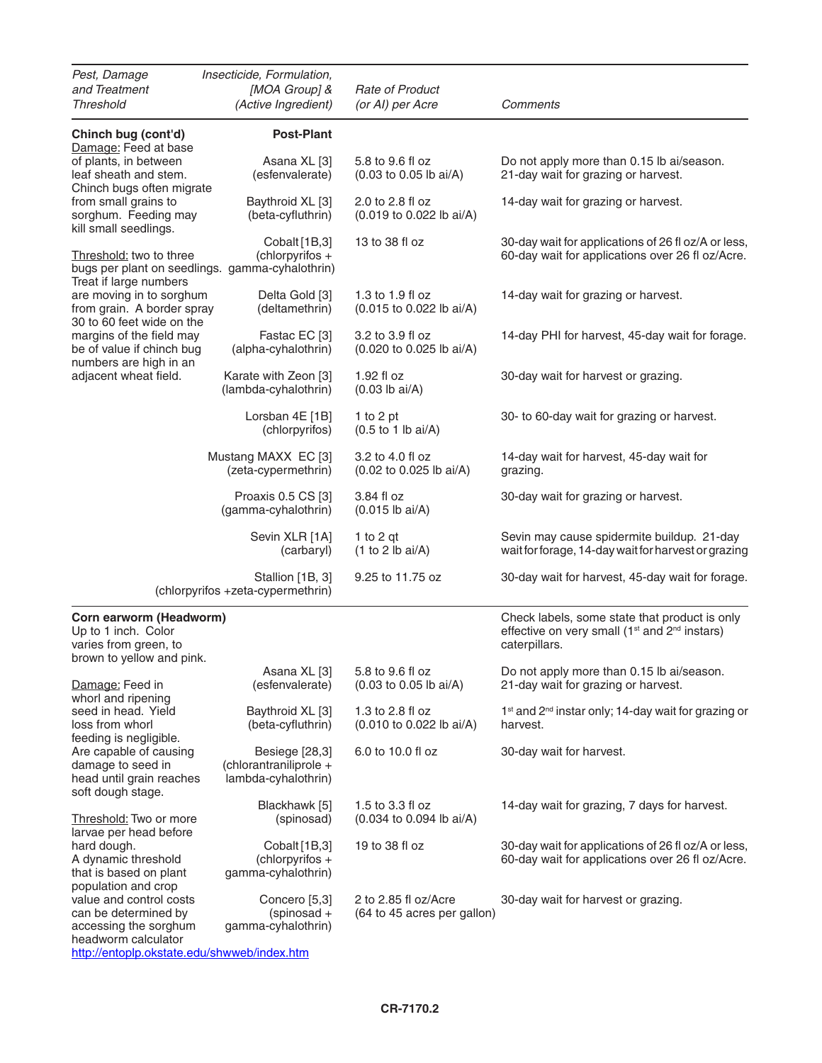| Pest, Damage<br>and Treatment<br><b>Threshold</b>                                                                      | Insecticide, Formulation,<br>[MOA Group] &<br>(Active Ingredient) | <b>Rate of Product</b><br>(or AI) per Acre                            | Comments                                                                                                                                |
|------------------------------------------------------------------------------------------------------------------------|-------------------------------------------------------------------|-----------------------------------------------------------------------|-----------------------------------------------------------------------------------------------------------------------------------------|
| Chinch bug (cont'd)<br>Damage: Feed at base                                                                            | <b>Post-Plant</b>                                                 |                                                                       |                                                                                                                                         |
| of plants, in between<br>leaf sheath and stem.<br>Chinch bugs often migrate                                            | Asana XL [3]<br>(esfenvalerate)                                   | 5.8 to 9.6 fl oz<br>(0.03 to 0.05 lb ai/A)                            | Do not apply more than 0.15 lb ai/season.<br>21-day wait for grazing or harvest.                                                        |
| from small grains to<br>sorghum. Feeding may<br>kill small seedlings.                                                  | Baythroid XL [3]<br>(beta-cyfluthrin)                             | 2.0 to 2.8 fl oz<br>(0.019 to 0.022 lb ai/A)                          | 14-day wait for grazing or harvest.                                                                                                     |
| Threshold: two to three<br>bugs per plant on seedlings. gamma-cyhalothrin)<br>Treat if large numbers                   | Cobalt [1B,3]<br>$(chlorpyrifos +$                                | 13 to 38 fl oz                                                        | 30-day wait for applications of 26 fl oz/A or less,<br>60-day wait for applications over 26 fl oz/Acre.                                 |
| are moving in to sorghum<br>from grain. A border spray<br>30 to 60 feet wide on the                                    | Delta Gold [3]<br>(deltamethrin)                                  | 1.3 to 1.9 fl oz<br>(0.015 to 0.022 lb ai/A)                          | 14-day wait for grazing or harvest.                                                                                                     |
| margins of the field may<br>be of value if chinch bug<br>numbers are high in an                                        | Fastac EC [3]<br>(alpha-cyhalothrin)                              | 3.2 to 3.9 fl oz<br>(0.020 to 0.025 lb ai/A)                          | 14-day PHI for harvest, 45-day wait for forage.                                                                                         |
| adjacent wheat field.                                                                                                  | Karate with Zeon [3]<br>(lambda-cyhalothrin)                      | 1.92 fl oz<br>$(0.03$ lb ai/A)                                        | 30-day wait for harvest or grazing.                                                                                                     |
|                                                                                                                        | Lorsban 4E [1B]<br>(chlorpyrifos)                                 | 1 to $2$ pt<br>$(0.5$ to 1 lb ai/A)                                   | 30- to 60-day wait for grazing or harvest.                                                                                              |
| Mustang MAXX EC [3]<br>(zeta-cypermethrin)                                                                             |                                                                   | 3.2 to 4.0 fl oz<br>(0.02 to 0.025 lb ai/A)                           | 14-day wait for harvest, 45-day wait for<br>grazing.                                                                                    |
|                                                                                                                        | Proaxis 0.5 CS [3]<br>(gamma-cyhalothrin)                         | 3.84 fl oz<br>$(0.015$ lb ai/A)                                       | 30-day wait for grazing or harvest.                                                                                                     |
|                                                                                                                        | Sevin XLR [1A]<br>(carbaryl)                                      | 1 to $2$ qt<br>(1 to 2 lb ai/A)                                       | Sevin may cause spidermite buildup. 21-day<br>wait for forage, 14-day wait for harvest or grazing                                       |
|                                                                                                                        | Stallion [1B, 3]<br>(chlorpyrifos +zeta-cypermethrin)             | 9.25 to 11.75 oz                                                      | 30-day wait for harvest, 45-day wait for forage.                                                                                        |
| Corn earworm (Headworm)<br>Up to 1 inch. Color<br>varies from green, to<br>brown to yellow and pink.                   |                                                                   |                                                                       | Check labels, some state that product is only<br>effective on very small (1 <sup>st</sup> and 2 <sup>nd</sup> instars)<br>caterpillars. |
| Damage: Feed in<br>whorl and ripening                                                                                  | Asana XL [3]<br>(esfenvalerate)                                   | 5.8 to 9.6 fl oz<br>$(0.03 \text{ to } 0.05 \text{ lb } \text{ai/A})$ | Do not apply more than 0.15 lb ai/season.<br>21-day wait for grazing or harvest.                                                        |
| seed in head. Yield<br>loss from whorl                                                                                 | Baythroid XL [3]<br>(beta-cyfluthrin)                             | 1.3 to 2.8 fl oz<br>(0.010 to 0.022 lb ai/A)                          | 1 <sup>st</sup> and 2 <sup>nd</sup> instar only; 14-day wait for grazing or<br>harvest.                                                 |
| feeding is negligible.<br>Are capable of causing<br>damage to seed in<br>head until grain reaches<br>soft dough stage. | Besiege [28,3]<br>(chlorantraniliprole +<br>lambda-cyhalothrin)   | 6.0 to 10.0 fl oz                                                     | 30-day wait for harvest.                                                                                                                |
| Threshold: Two or more<br>larvae per head before                                                                       | Blackhawk [5]<br>(spinosad)                                       | 1.5 to 3.3 fl oz<br>(0.034 to 0.094 lb ai/A)                          | 14-day wait for grazing, 7 days for harvest.                                                                                            |
| hard dough.<br>A dynamic threshold<br>that is based on plant<br>population and crop                                    | Cobalt [1B,3]<br>$(chlorpyrifos +$<br>gamma-cyhalothrin)          | 19 to 38 fl oz                                                        | 30-day wait for applications of 26 fl oz/A or less,<br>60-day wait for applications over 26 fl oz/Acre.                                 |
| value and control costs<br>can be determined by<br>accessing the sorghum<br>headworm calculator                        | Concero [5,3]<br>(spinosad +<br>gamma-cyhalothrin)                | 2 to 2.85 fl oz/Acre<br>(64 to 45 acres per gallon)                   | 30-day wait for harvest or grazing.                                                                                                     |

http://entoplp.okstate.edu/shwweb/index.htm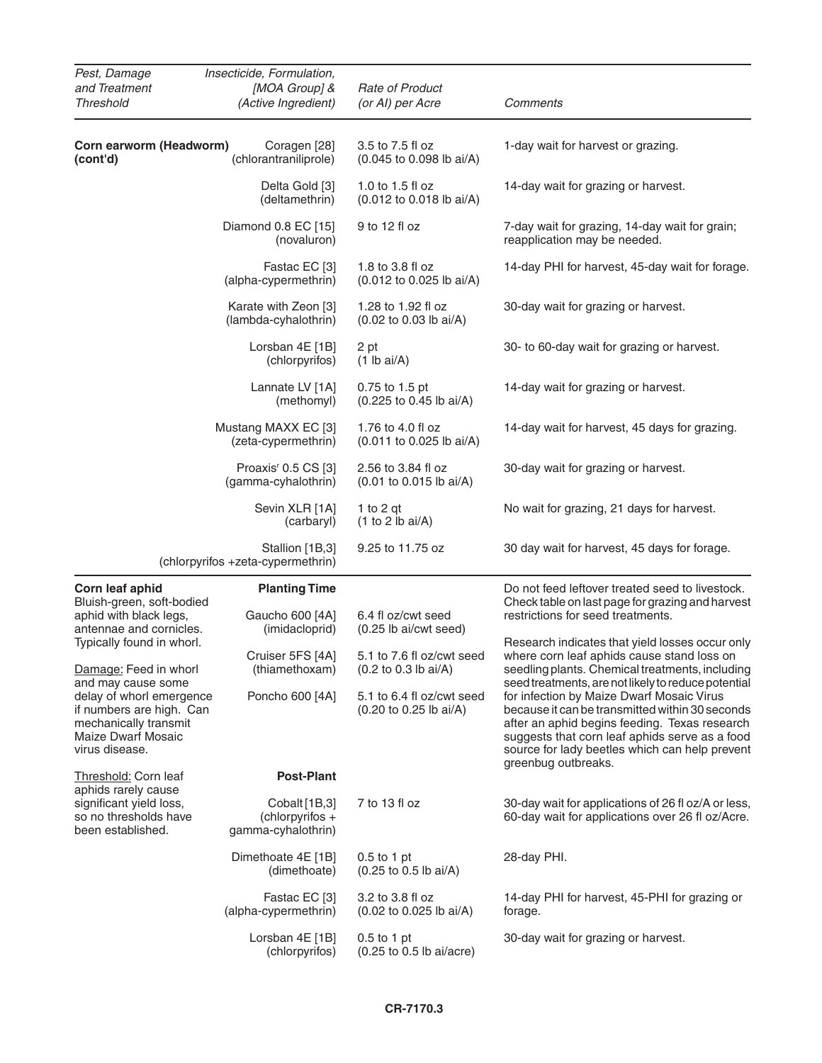| Pest, Damage<br>and Treatment<br><b>Threshold</b>                                                                                                  | Insecticide, Formulation,<br>[MOA Group] &<br>(Active Ingredient) | <b>Rate of Product</b><br>(or AI) per Acre                                     | Comments                                                                                                                                                                                                                                                                                                                        |
|----------------------------------------------------------------------------------------------------------------------------------------------------|-------------------------------------------------------------------|--------------------------------------------------------------------------------|---------------------------------------------------------------------------------------------------------------------------------------------------------------------------------------------------------------------------------------------------------------------------------------------------------------------------------|
| Corn earworm (Headworm)<br>(cont'd)                                                                                                                | Coragen [28]<br>(chlorantraniliprole)                             | 3.5 to 7.5 fl oz<br>(0.045 to 0.098 lb ai/A)                                   | 1-day wait for harvest or grazing.                                                                                                                                                                                                                                                                                              |
|                                                                                                                                                    | Delta Gold [3]<br>(deltamethrin)                                  | 1.0 to 1.5 fl oz<br>(0.012 to 0.018 lb ai/A)                                   | 14-day wait for grazing or harvest.                                                                                                                                                                                                                                                                                             |
|                                                                                                                                                    | Diamond 0.8 EC [15]<br>(novaluron)                                | 9 to 12 fl oz                                                                  | 7-day wait for grazing, 14-day wait for grain;<br>reapplication may be needed.                                                                                                                                                                                                                                                  |
|                                                                                                                                                    | Fastac EC [3]<br>(alpha-cypermethrin)                             | 1.8 to 3.8 fl oz<br>(0.012 to 0.025 lb ai/A)                                   | 14-day PHI for harvest, 45-day wait for forage.                                                                                                                                                                                                                                                                                 |
|                                                                                                                                                    | Karate with Zeon [3]<br>(lambda-cyhalothrin)                      | 1.28 to 1.92 fl oz<br>(0.02 to 0.03 lb ai/A)                                   | 30-day wait for grazing or harvest.                                                                                                                                                                                                                                                                                             |
|                                                                                                                                                    | Lorsban 4E [1B]<br>(chlorpyrifos)                                 | 2 pt<br>$(1$ lb ai/A)                                                          | 30- to 60-day wait for grazing or harvest.                                                                                                                                                                                                                                                                                      |
|                                                                                                                                                    | Lannate LV [1A]<br>(methomyl)                                     | 0.75 to 1.5 pt<br>(0.225 to 0.45 lb ai/A)                                      | 14-day wait for grazing or harvest.                                                                                                                                                                                                                                                                                             |
| Mustang MAXX EC [3]<br>(zeta-cypermethrin)<br>Proaxis' 0.5 CS [3]<br>(gamma-cyhalothrin)<br>Sevin XLR [1A]<br>(carbaryl)                           |                                                                   | 1.76 to 4.0 fl oz<br>(0.011 to 0.025 lb ai/A)                                  | 14-day wait for harvest, 45 days for grazing.                                                                                                                                                                                                                                                                                   |
|                                                                                                                                                    |                                                                   | 2.56 to 3.84 fl oz<br>(0.01 to 0.015 lb ai/A)                                  | 30-day wait for grazing or harvest.                                                                                                                                                                                                                                                                                             |
|                                                                                                                                                    |                                                                   | 1 to $2$ qt<br>(1 to 2 lb ai/A)                                                | No wait for grazing, 21 days for harvest.                                                                                                                                                                                                                                                                                       |
|                                                                                                                                                    | Stallion [1B,3]<br>(chlorpyrifos +zeta-cypermethrin)              | 9.25 to 11.75 oz                                                               | 30 day wait for harvest, 45 days for forage.                                                                                                                                                                                                                                                                                    |
| Corn leaf aphid                                                                                                                                    | <b>Planting Time</b>                                              |                                                                                | Do not feed leftover treated seed to livestock.                                                                                                                                                                                                                                                                                 |
| Bluish-green, soft-bodied<br>aphid with black legs,<br>antennae and cornicles.                                                                     | Gaucho 600 [4A]<br>(imidacloprid)                                 | 6.4 fl oz/cwt seed<br>(0.25 lb ai/cwt seed)                                    | Check table on last page for grazing and harvest<br>restrictions for seed treatments.                                                                                                                                                                                                                                           |
| Typically found in whorl.<br>Damage: Feed in whorl                                                                                                 | Cruiser 5FS [4A]<br>(thiamethoxam)                                | 5.1 to 7.6 fl oz/cwt seed<br>$(0.2 \text{ to } 0.3 \text{ lb } \text{ai/A})$   | Research indicates that yield losses occur only<br>where corn leaf aphids cause stand loss on<br>seedling plants. Chemical treatments, including                                                                                                                                                                                |
| and may cause some<br>delay of whorl emergence<br>if numbers are high. Can<br>mechanically transmit<br><b>Maize Dwarf Mosaic</b><br>virus disease. | Poncho 600 [4A]                                                   | 5.1 to 6.4 fl oz/cwt seed<br>$(0.20 \text{ to } 0.25 \text{ lb } \text{ai/A})$ | seed treatments, are not likely to reduce potential<br>for infection by Maize Dwarf Mosaic Virus<br>because it can be transmitted within 30 seconds<br>after an aphid begins feeding. Texas research<br>suggests that corn leaf aphids serve as a food<br>source for lady beetles which can help prevent<br>greenbug outbreaks. |
| Threshold: Corn leaf                                                                                                                               | <b>Post-Plant</b>                                                 |                                                                                |                                                                                                                                                                                                                                                                                                                                 |
| aphids rarely cause<br>significant yield loss,<br>so no thresholds have<br>been established.                                                       | Cobalt [1B,3]<br>(chlorpyrifos +<br>gamma-cyhalothrin)            | 7 to 13 fl oz                                                                  | 30-day wait for applications of 26 fl oz/A or less,<br>60-day wait for applications over 26 fl oz/Acre.                                                                                                                                                                                                                         |
|                                                                                                                                                    | Dimethoate 4E [1B]<br>(dimethoate)                                | $0.5$ to 1 pt<br>(0.25 to 0.5 lb ai/A)                                         | 28-day PHI.                                                                                                                                                                                                                                                                                                                     |
|                                                                                                                                                    | Fastac EC [3]<br>(alpha-cypermethrin)                             | 3.2 to 3.8 fl oz<br>$(0.02 \text{ to } 0.025 \text{ lb } \text{ai/A})$         | 14-day PHI for harvest, 45-PHI for grazing or<br>forage.                                                                                                                                                                                                                                                                        |
|                                                                                                                                                    | Lorsban 4E [1B]<br>(chlorpyrifos)                                 | $0.5$ to 1 pt<br>(0.25 to 0.5 lb ai/acre)                                      | 30-day wait for grazing or harvest.                                                                                                                                                                                                                                                                                             |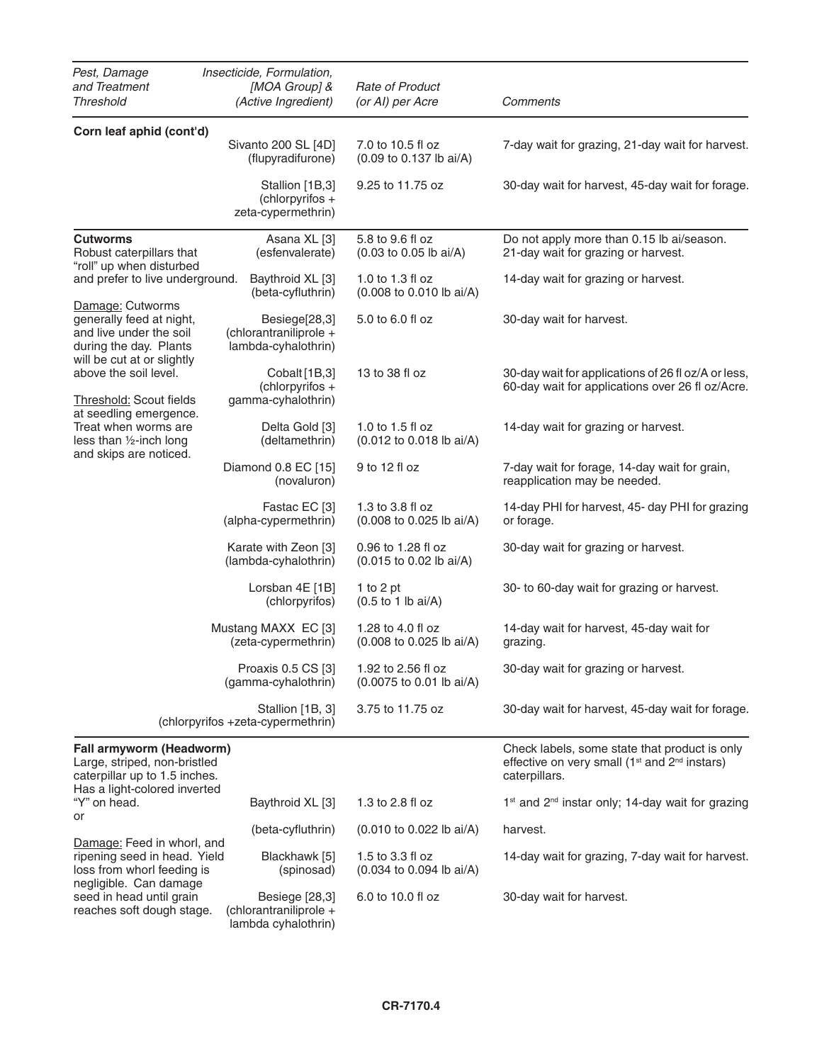| Pest, Damage<br>and Treatment<br><b>Threshold</b>                                                                                                                                                                                 | Insecticide, Formulation,<br>[MOA Group] &<br>(Active Ingredient) | <b>Rate of Product</b><br>(or AI) per Acre          | Comments                                                                                                                                |
|-----------------------------------------------------------------------------------------------------------------------------------------------------------------------------------------------------------------------------------|-------------------------------------------------------------------|-----------------------------------------------------|-----------------------------------------------------------------------------------------------------------------------------------------|
| Corn leaf aphid (cont'd)                                                                                                                                                                                                          | Sivanto 200 SL [4D]<br>(flupyradifurone)                          | 7.0 to 10.5 fl oz<br>(0.09 to 0.137 lb ai/A)        | 7-day wait for grazing, 21-day wait for harvest.                                                                                        |
|                                                                                                                                                                                                                                   | Stallion [1B,3]<br>(chlorpyrifos +<br>zeta-cypermethrin)          | 9.25 to 11.75 oz                                    | 30-day wait for harvest, 45-day wait for forage.                                                                                        |
| <b>Cutworms</b><br>Robust caterpillars that<br>"roll" up when disturbed                                                                                                                                                           | Asana XL [3]<br>(esfenvalerate)                                   | 5.8 to 9.6 fl oz<br>(0.03 to 0.05 lb ai/A)          | Do not apply more than 0.15 lb ai/season.<br>21-day wait for grazing or harvest.                                                        |
| and prefer to live underground.                                                                                                                                                                                                   | Baythroid XL [3]<br>(beta-cyfluthrin)                             | 1.0 to 1.3 fl oz<br>(0.008 to 0.010 lb ai/A)        | 14-day wait for grazing or harvest.                                                                                                     |
| Damage: Cutworms<br>generally feed at night,<br>and live under the soil<br>during the day. Plants<br>will be cut at or slightly                                                                                                   | Besiege[28,3]<br>(chlorantraniliprole +<br>lambda-cyhalothrin)    | 5.0 to 6.0 fl oz                                    | 30-day wait for harvest.                                                                                                                |
| above the soil level.<br>Threshold: Scout fields                                                                                                                                                                                  | Cobalt [1B,3]<br>(chlorpyrifos +<br>gamma-cyhalothrin)            | 13 to 38 fl oz                                      | 30-day wait for applications of 26 fl oz/A or less,<br>60-day wait for applications over 26 fl oz/Acre.                                 |
| at seedling emergence.<br>Treat when worms are<br>less than 1/2-inch long<br>and skips are noticed.                                                                                                                               | Delta Gold [3]<br>(deltamethrin)                                  | 1.0 to 1.5 fl oz<br>(0.012 to 0.018 lb ai/A)        | 14-day wait for grazing or harvest.                                                                                                     |
|                                                                                                                                                                                                                                   | Diamond 0.8 EC [15]<br>(novaluron)                                | 9 to 12 fl oz                                       | 7-day wait for forage, 14-day wait for grain,<br>reapplication may be needed.                                                           |
|                                                                                                                                                                                                                                   | Fastac EC [3]<br>(alpha-cypermethrin)                             | 1.3 to 3.8 fl oz<br>(0.008 to 0.025 lb ai/A)        | 14-day PHI for harvest, 45-day PHI for grazing<br>or forage.                                                                            |
|                                                                                                                                                                                                                                   | Karate with Zeon [3]<br>(lambda-cyhalothrin)                      | 0.96 to 1.28 fl oz<br>(0.015 to 0.02 lb ai/A)       | 30-day wait for grazing or harvest.                                                                                                     |
|                                                                                                                                                                                                                                   | Lorsban 4E [1B]<br>(chlorpyrifos)                                 | 1 to $2$ pt<br>$(0.5$ to 1 lb ai/A)                 | 30- to 60-day wait for grazing or harvest.                                                                                              |
|                                                                                                                                                                                                                                   | Mustang MAXX EC [3]<br>(zeta-cypermethrin)                        | 1.28 to 4.0 fl oz<br>(0.008 to 0.025 lb ai/A)       | 14-day wait for harvest, 45-day wait for<br>grazing.                                                                                    |
|                                                                                                                                                                                                                                   | Proaxis 0.5 CS [3]<br>(gamma-cyhalothrin)                         | 1.92 to 2.56 fl oz<br>(0.0075 to 0.01 lb ai/A)      | 30-day wait for grazing or harvest.                                                                                                     |
|                                                                                                                                                                                                                                   | Stallion [1B, 3]<br>(chlorpyrifos +zeta-cypermethrin)             | 3.75 to 11.75 oz                                    | 30-day wait for harvest, 45-day wait for forage.                                                                                        |
| Fall armyworm (Headworm)<br>Large, striped, non-bristled<br>caterpillar up to 1.5 inches.                                                                                                                                         |                                                                   |                                                     | Check labels, some state that product is only<br>effective on very small (1 <sup>st</sup> and 2 <sup>nd</sup> instars)<br>caterpillars. |
| Has a light-colored inverted<br>"Y" on head.<br>or<br>Damage: Feed in whorl, and<br>ripening seed in head. Yield<br>loss from whorl feeding is<br>negligible. Can damage<br>seed in head until grain<br>reaches soft dough stage. | Baythroid XL [3]                                                  | 1.3 to 2.8 fl oz                                    | 1 <sup>st</sup> and 2 <sup>nd</sup> instar only; 14-day wait for grazing                                                                |
|                                                                                                                                                                                                                                   | (beta-cyfluthrin)                                                 | $(0.010 \text{ to } 0.022 \text{ lb } \text{ai/A})$ | harvest.                                                                                                                                |
|                                                                                                                                                                                                                                   | Blackhawk [5]<br>(spinosad)                                       | 1.5 to 3.3 fl oz<br>(0.034 to 0.094 lb ai/A)        | 14-day wait for grazing, 7-day wait for harvest.                                                                                        |
|                                                                                                                                                                                                                                   | Besiege [28,3]<br>(chlorantraniliprole +<br>lambda cyhalothrin)   | 6.0 to 10.0 fl oz                                   | 30-day wait for harvest.                                                                                                                |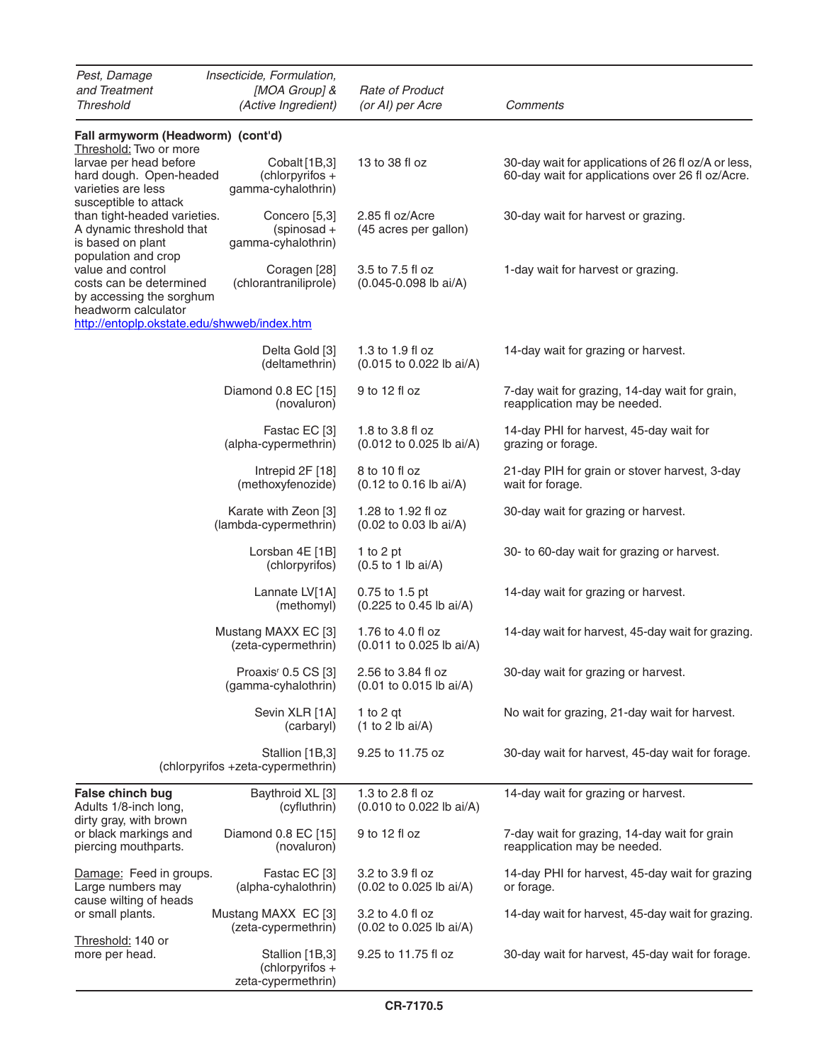| Pest, Damage<br>and Treatment<br><b>Threshold</b>                                                                          | Insecticide, Formulation,<br>[MOA Group] &<br>(Active Ingredient) | <b>Rate of Product</b><br>(or AI) per Acre    | Comments                                                                                                |
|----------------------------------------------------------------------------------------------------------------------------|-------------------------------------------------------------------|-----------------------------------------------|---------------------------------------------------------------------------------------------------------|
| Fall armyworm (Headworm) (cont'd)                                                                                          |                                                                   |                                               |                                                                                                         |
| Threshold: Two or more<br>larvae per head before<br>hard dough. Open-headed<br>varieties are less<br>susceptible to attack | Cobalt [1B,3]<br>$(chlorpyrifos +$<br>gamma-cyhalothrin)          | 13 to 38 fl oz                                | 30-day wait for applications of 26 fl oz/A or less,<br>60-day wait for applications over 26 fl oz/Acre. |
| than tight-headed varieties.<br>A dynamic threshold that<br>is based on plant<br>population and crop                       | Concero [5,3]<br>$(spinosad +$<br>gamma-cyhalothrin)              | 2.85 fl oz/Acre<br>(45 acres per gallon)      | 30-day wait for harvest or grazing.                                                                     |
| value and control<br>costs can be determined<br>by accessing the sorghum<br>headworm calculator                            | Coragen [28]<br>(chlorantraniliprole)                             | 3.5 to 7.5 fl oz<br>$(0.045 - 0.098$ lb ai/A) | 1-day wait for harvest or grazing.                                                                      |
| http://entoplp.okstate.edu/shwweb/index.htm                                                                                |                                                                   |                                               |                                                                                                         |
|                                                                                                                            | Delta Gold [3]<br>(deltamethrin)                                  | 1.3 to 1.9 fl oz<br>(0.015 to 0.022 lb ai/A)  | 14-day wait for grazing or harvest.                                                                     |
|                                                                                                                            | Diamond 0.8 EC [15]<br>(novaluron)                                | 9 to 12 fl oz                                 | 7-day wait for grazing, 14-day wait for grain,<br>reapplication may be needed.                          |
|                                                                                                                            | Fastac EC [3]<br>(alpha-cypermethrin)                             | 1.8 to 3.8 fl oz<br>(0.012 to 0.025 lb ai/A)  | 14-day PHI for harvest, 45-day wait for<br>grazing or forage.                                           |
|                                                                                                                            | Intrepid 2F [18]<br>(methoxyfenozide)                             | 8 to 10 fl oz<br>(0.12 to 0.16 lb ai/A)       | 21-day PIH for grain or stover harvest, 3-day<br>wait for forage.                                       |
| Karate with Zeon [3]<br>(lambda-cypermethrin)<br>Lorsban 4E [1B]<br>(chlorpyrifos)                                         |                                                                   | 1.28 to 1.92 fl oz<br>(0.02 to 0.03 lb ai/A)  | 30-day wait for grazing or harvest.                                                                     |
|                                                                                                                            |                                                                   | 1 to 2 pt<br>$(0.5$ to 1 lb ai/A)             | 30- to 60-day wait for grazing or harvest.                                                              |
|                                                                                                                            | Lannate LV[1A]<br>(methomyl)                                      | 0.75 to 1.5 pt<br>(0.225 to 0.45 lb ai/A)     | 14-day wait for grazing or harvest.                                                                     |
|                                                                                                                            | Mustang MAXX EC [3]<br>(zeta-cypermethrin)                        | 1.76 to 4.0 fl oz<br>(0.011 to 0.025 lb ai/A) | 14-day wait for harvest, 45-day wait for grazing.                                                       |
|                                                                                                                            | Proaxis' 0.5 CS [3]<br>(gamma-cyhalothrin)                        | 2.56 to 3.84 fl oz<br>(0.01 to 0.015 lb ai/A) | 30-day wait for grazing or harvest.                                                                     |
|                                                                                                                            | Sevin XLR [1A]<br>(carbaryl)                                      | 1 to 2 $qt$<br>(1 to 2 lb ai/A)               | No wait for grazing, 21-day wait for harvest.                                                           |
|                                                                                                                            | Stallion [1B,3]<br>(chlorpyrifos +zeta-cypermethrin)              | 9.25 to 11.75 oz                              | 30-day wait for harvest, 45-day wait for forage.                                                        |
| False chinch bug<br>Adults 1/8-inch long,                                                                                  | Baythroid XL [3]<br>(cyfluthrin)                                  | 1.3 to 2.8 fl oz<br>(0.010 to 0.022 lb ai/A)  | 14-day wait for grazing or harvest.                                                                     |
| dirty gray, with brown<br>or black markings and<br>piercing mouthparts.                                                    | Diamond 0.8 EC [15]<br>(novaluron)                                | 9 to 12 fl oz                                 | 7-day wait for grazing, 14-day wait for grain<br>reapplication may be needed.                           |
| Damage: Feed in groups.<br>Large numbers may                                                                               | Fastac EC [3]<br>(alpha-cyhalothrin)                              | 3.2 to 3.9 fl oz<br>(0.02 to 0.025 lb ai/A)   | 14-day PHI for harvest, 45-day wait for grazing<br>or forage.                                           |
| cause wilting of heads<br>or small plants.                                                                                 | Mustang MAXX EC [3]<br>(zeta-cypermethrin)                        | 3.2 to 4.0 fl oz<br>(0.02 to 0.025 lb ai/A)   | 14-day wait for harvest, 45-day wait for grazing.                                                       |
| Threshold: 140 or<br>more per head.                                                                                        | Stallion [1B,3]<br>(chlorpyrifos +<br>zeta-cypermethrin)          | 9.25 to 11.75 fl oz                           | 30-day wait for harvest, 45-day wait for forage.                                                        |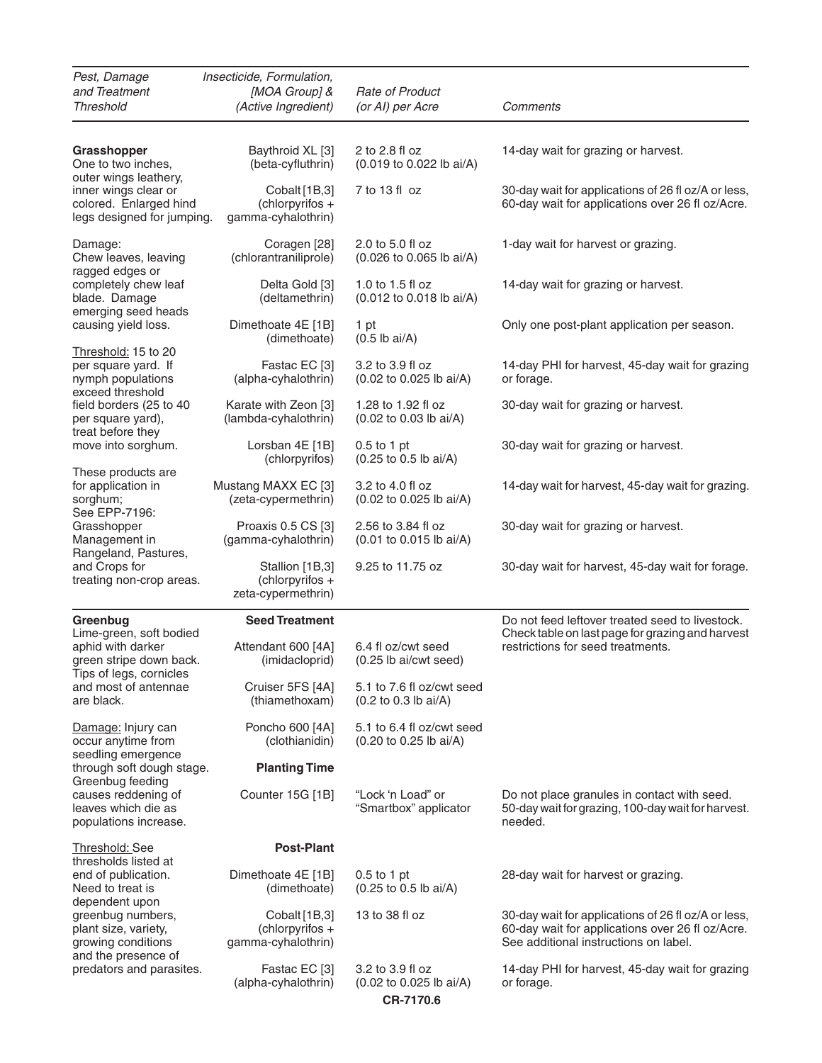| Pest, Damage                                                                                       | Insecticide, Formulation,                                |                                                                              |                                                                                                                                                  |
|----------------------------------------------------------------------------------------------------|----------------------------------------------------------|------------------------------------------------------------------------------|--------------------------------------------------------------------------------------------------------------------------------------------------|
| and Treatment                                                                                      | [MOA Group] &                                            | <b>Rate of Product</b>                                                       |                                                                                                                                                  |
| <b>Threshold</b>                                                                                   | (Active Ingredient)                                      | (or AI) per Acre                                                             | Comments                                                                                                                                         |
|                                                                                                    |                                                          |                                                                              |                                                                                                                                                  |
| Grasshopper<br>One to two inches,<br>outer wings leathery,                                         | Baythroid XL [3]<br>(beta-cyfluthrin)                    | 2 to 2.8 fl oz<br>(0.019 to 0.022 lb ai/A)                                   | 14-day wait for grazing or harvest.                                                                                                              |
| inner wings clear or<br>colored. Enlarged hind<br>legs designed for jumping.                       | Cobalt [1B,3]<br>(chlorpyrifos +<br>gamma-cyhalothrin)   | 7 to 13 fl oz                                                                | 30-day wait for applications of 26 fl oz/A or less,<br>60-day wait for applications over 26 fl oz/Acre.                                          |
| Damage:<br>Chew leaves, leaving<br>ragged edges or                                                 | Coragen [28]<br>(chlorantraniliprole)                    | 2.0 to 5.0 fl oz<br>(0.026 to 0.065 lb ai/A)                                 | 1-day wait for harvest or grazing.                                                                                                               |
| completely chew leaf<br>blade. Damage<br>emerging seed heads                                       | Delta Gold [3]<br>(deltamethrin)                         | 1.0 to 1.5 fl oz<br>(0.012 to 0.018 lb ai/A)                                 | 14-day wait for grazing or harvest.                                                                                                              |
| causing yield loss.                                                                                | Dimethoate 4E [1B]<br>(dimethoate)                       | 1 pt<br>$(0.5$ lb ai/A)                                                      | Only one post-plant application per season.                                                                                                      |
| Threshold: 15 to 20<br>per square yard. If<br>nymph populations<br>exceed threshold                | Fastac EC [3]<br>(alpha-cyhalothrin)                     | 3.2 to 3.9 fl oz<br>(0.02 to 0.025 lb ai/A)                                  | 14-day PHI for harvest, 45-day wait for grazing<br>or forage.                                                                                    |
| field borders (25 to 40<br>per square yard),<br>treat before they                                  | Karate with Zeon [3]<br>(lambda-cyhalothrin)             | 1.28 to 1.92 fl oz<br>(0.02 to 0.03 lb ai/A)                                 | 30-day wait for grazing or harvest.                                                                                                              |
| move into sorghum.                                                                                 | Lorsban 4E [1B]<br>(chlorpyrifos)                        | $0.5$ to 1 pt<br>(0.25 to 0.5 lb ai/A)                                       | 30-day wait for grazing or harvest.                                                                                                              |
| These products are<br>for application in<br>sorghum;<br>See EPP-7196:                              | Mustang MAXX EC [3]<br>(zeta-cypermethrin)               | 3.2 to 4.0 fl oz<br>(0.02 to 0.025 lb ai/A)                                  | 14-day wait for harvest, 45-day wait for grazing.                                                                                                |
| Grasshopper<br>Management in<br>Rangeland, Pastures,                                               | Proaxis 0.5 CS [3]<br>(gamma-cyhalothrin)                | 2.56 to 3.84 fl oz<br>(0.01 to 0.015 lb ai/A)                                | 30-day wait for grazing or harvest.                                                                                                              |
| and Crops for<br>treating non-crop areas.                                                          | Stallion [1B,3]<br>(chlorpyrifos +<br>zeta-cypermethrin) | 9.25 to 11.75 oz                                                             | 30-day wait for harvest, 45-day wait for forage.                                                                                                 |
| Greenbug                                                                                           | <b>Seed Treatment</b>                                    |                                                                              | Do not feed leftover treated seed to livestock.                                                                                                  |
| Lime-green, soft bodied<br>aphid with darker<br>green stripe down back.<br>Tips of legs, cornicles | Attendant 600 [4A]<br>(imidacloprid)                     | 6.4 fl oz/cwt seed<br>(0.25 lb ai/cwt seed)                                  | Check table on last page for grazing and harvest<br>restrictions for seed treatments.                                                            |
| and most of antennae<br>are black.                                                                 | Cruiser 5FS [4A]<br>(thiamethoxam)                       | 5.1 to 7.6 fl oz/cwt seed<br>$(0.2 \text{ to } 0.3 \text{ lb } \text{ai/A})$ |                                                                                                                                                  |
| Damage: Injury can<br>occur anytime from                                                           | Poncho 600 [4A]<br>(clothianidin)                        | 5.1 to 6.4 fl oz/cwt seed<br>(0.20 to 0.25 lb ai/A)                          |                                                                                                                                                  |
| seedling emergence<br>through soft dough stage.<br>Greenbug feeding                                | <b>Planting Time</b>                                     |                                                                              |                                                                                                                                                  |
| causes reddening of<br>leaves which die as<br>populations increase.                                | Counter 15G [1B]                                         | "Lock 'n Load" or<br>"Smartbox" applicator                                   | Do not place granules in contact with seed.<br>50-day wait for grazing, 100-day wait for harvest.<br>needed.                                     |
| Threshold: See<br>thresholds listed at                                                             | <b>Post-Plant</b>                                        |                                                                              |                                                                                                                                                  |
| end of publication.<br>Need to treat is<br>dependent upon                                          | Dimethoate 4E [1B]<br>(dimethoate)                       | $0.5$ to 1 pt<br>(0.25 to 0.5 lb ai/A)                                       | 28-day wait for harvest or grazing.                                                                                                              |
| greenbug numbers,<br>plant size, variety,<br>growing conditions<br>and the presence of             | Cobalt [1B,3]<br>$(chlorpyrifos +$<br>gamma-cyhalothrin) | 13 to 38 fl oz                                                               | 30-day wait for applications of 26 fl oz/A or less,<br>60-day wait for applications over 26 fl oz/Acre.<br>See additional instructions on label. |
| predators and parasites.                                                                           | Fastac EC [3]<br>(alpha-cyhalothrin)                     | 3.2 to 3.9 fl oz<br>(0.02 to 0.025 lb ai/A)<br>CR-7170.6                     | 14-day PHI for harvest, 45-day wait for grazing<br>or forage.                                                                                    |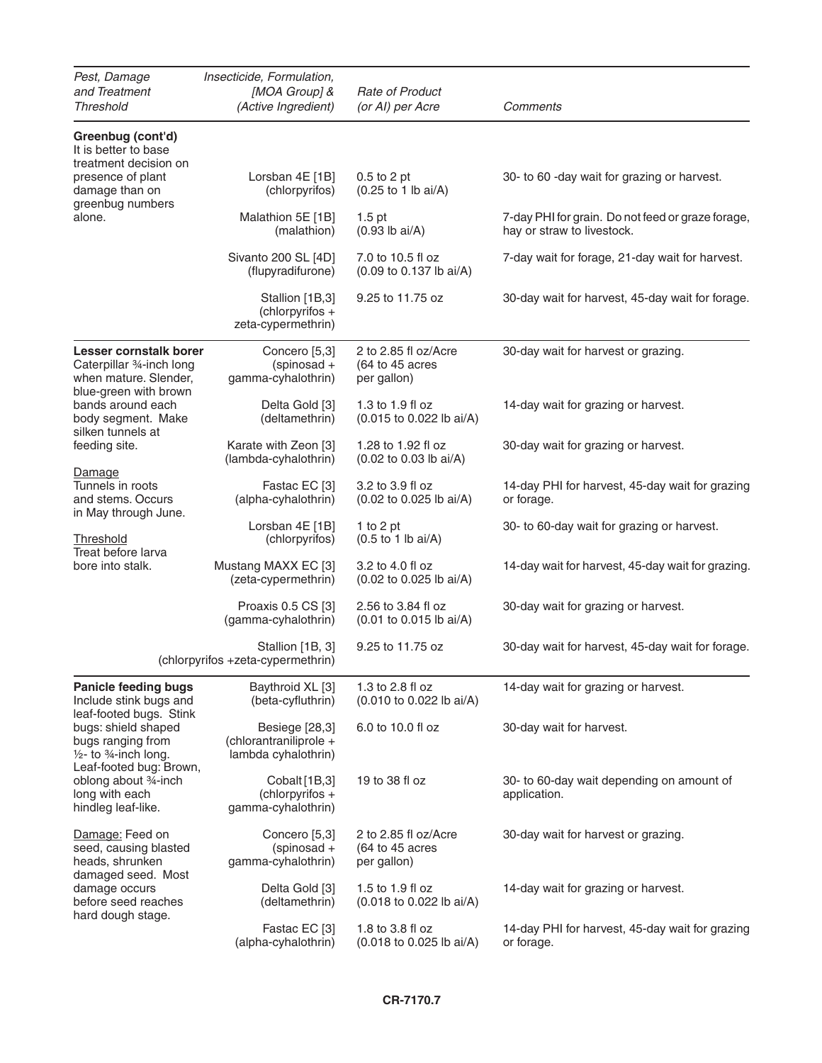| Pest, Damage<br>and Treatment<br><b>Threshold</b>                                                                                                                                                                                                        | Insecticide, Formulation,<br>[MOA Group] &<br>(Active Ingredient) | <b>Rate of Product</b><br>(or AI) per Acre                                 | Comments                                                                        |
|----------------------------------------------------------------------------------------------------------------------------------------------------------------------------------------------------------------------------------------------------------|-------------------------------------------------------------------|----------------------------------------------------------------------------|---------------------------------------------------------------------------------|
| Greenbug (cont'd)<br>It is better to base<br>treatment decision on                                                                                                                                                                                       |                                                                   |                                                                            |                                                                                 |
| presence of plant<br>damage than on<br>greenbug numbers                                                                                                                                                                                                  | Lorsban 4E [1B]<br>(chlorpyrifos)                                 | $0.5$ to $2$ pt<br>(0.25 to 1 lb ai/A)                                     | 30- to 60 -day wait for grazing or harvest.                                     |
| alone.                                                                                                                                                                                                                                                   | Malathion 5E [1B]<br>(malathion)                                  | $1.5$ pt<br>$(0.93$ lb ai/A)                                               | 7-day PHI for grain. Do not feed or graze forage,<br>hay or straw to livestock. |
|                                                                                                                                                                                                                                                          | Sivanto 200 SL [4D]<br>(flupyradifurone)                          | 7.0 to 10.5 fl oz<br>(0.09 to 0.137 lb ai/A)                               | 7-day wait for forage, 21-day wait for harvest.                                 |
|                                                                                                                                                                                                                                                          | Stallion [1B,3]<br>$(chlorpyrifos +$<br>zeta-cypermethrin)        | 9.25 to 11.75 oz                                                           | 30-day wait for harvest, 45-day wait for forage.                                |
| <b>Lesser cornstalk borer</b><br>Caterpillar 3/4-inch long<br>when mature. Slender,<br>blue-green with brown                                                                                                                                             | Concero [5,3]<br>$(spinosad +$<br>gamma-cyhalothrin)              | 2 to 2.85 fl oz/Acre<br>(64 to 45 acres<br>per gallon)                     | 30-day wait for harvest or grazing.                                             |
| bands around each<br>body segment. Make<br>silken tunnels at                                                                                                                                                                                             | Delta Gold [3]<br>(deltamethrin)                                  | 1.3 to 1.9 fl oz<br>(0.015 to 0.022 lb ai/A)                               | 14-day wait for grazing or harvest.                                             |
| feeding site.<br>Damage                                                                                                                                                                                                                                  | Karate with Zeon [3]<br>(lambda-cyhalothrin)                      | 1.28 to 1.92 fl oz<br>(0.02 to 0.03 lb ai/A)                               | 30-day wait for grazing or harvest.                                             |
| Tunnels in roots<br>and stems, Occurs<br>in May through June.                                                                                                                                                                                            | Fastac EC [3]<br>(alpha-cyhalothrin)                              | 3.2 to 3.9 fl oz<br>(0.02 to 0.025 lb ai/A)                                | 14-day PHI for harvest, 45-day wait for grazing<br>or forage.                   |
| Threshold<br>Treat before larva                                                                                                                                                                                                                          | Lorsban 4E [1B]<br>(chlorpyrifos)                                 | 1 to 2 pt<br>$(0.5$ to 1 lb ai/A)                                          | 30- to 60-day wait for grazing or harvest.                                      |
| bore into stalk.                                                                                                                                                                                                                                         | Mustang MAXX EC [3]<br>(zeta-cypermethrin)                        | 3.2 to 4.0 fl oz<br>(0.02 to 0.025 lb ai/A)                                | 14-day wait for harvest, 45-day wait for grazing.                               |
|                                                                                                                                                                                                                                                          | Proaxis 0.5 CS [3]<br>(gamma-cyhalothrin)                         | 2.56 to 3.84 fl oz<br>(0.01 to 0.015 lb ai/A)                              | 30-day wait for grazing or harvest.                                             |
|                                                                                                                                                                                                                                                          | Stallion [1B, 3]<br>(chlorpyrifos +zeta-cypermethrin)             | 9.25 to 11.75 oz                                                           | 30-day wait for harvest, 45-day wait for forage.                                |
| <b>Panicle feeding bugs</b><br>Include stink bugs and<br>leaf-footed bugs. Stink                                                                                                                                                                         | Baythroid XL [3]<br>(beta-cyfluthrin)                             | 1.3 to 2.8 fl oz<br>$(0.010 \text{ to } 0.022 \text{ lb } \text{ai/A})$    | 14-day wait for grazing or harvest.                                             |
| bugs: shield shaped<br>bugs ranging from<br>$1/2$ - to $3/4$ -inch long.<br>Leaf-footed bug: Brown,<br>oblong about 34-inch<br>long with each<br>hindleg leaf-like.<br>Damage: Feed on<br>seed, causing blasted<br>heads, shrunken<br>damaged seed. Most | Besiege [28,3]<br>(chlorantraniliprole +<br>lambda cyhalothrin)   | 6.0 to 10.0 fl oz                                                          | 30-day wait for harvest.                                                        |
|                                                                                                                                                                                                                                                          | Cobalt [1B,3]<br>$(chlorpyrifos +$<br>gamma-cyhalothrin)          | 19 to 38 fl oz                                                             | 30- to 60-day wait depending on amount of<br>application.                       |
|                                                                                                                                                                                                                                                          | Concero [5,3]<br>(spinosad +<br>gamma-cyhalothrin)                | 2 to 2.85 fl oz/Acre<br>$(64 \text{ to } 45 \text{ acres})$<br>per gallon) | 30-day wait for harvest or grazing.                                             |
| damage occurs<br>before seed reaches<br>hard dough stage.                                                                                                                                                                                                | Delta Gold [3]<br>(deltamethrin)                                  | 1.5 to 1.9 fl oz<br>(0.018 to 0.022 lb ai/A)                               | 14-day wait for grazing or harvest.                                             |
|                                                                                                                                                                                                                                                          | Fastac EC [3]<br>(alpha-cyhalothrin)                              | 1.8 to 3.8 fl oz<br>(0.018 to 0.025 lb ai/A)                               | 14-day PHI for harvest, 45-day wait for grazing<br>or forage.                   |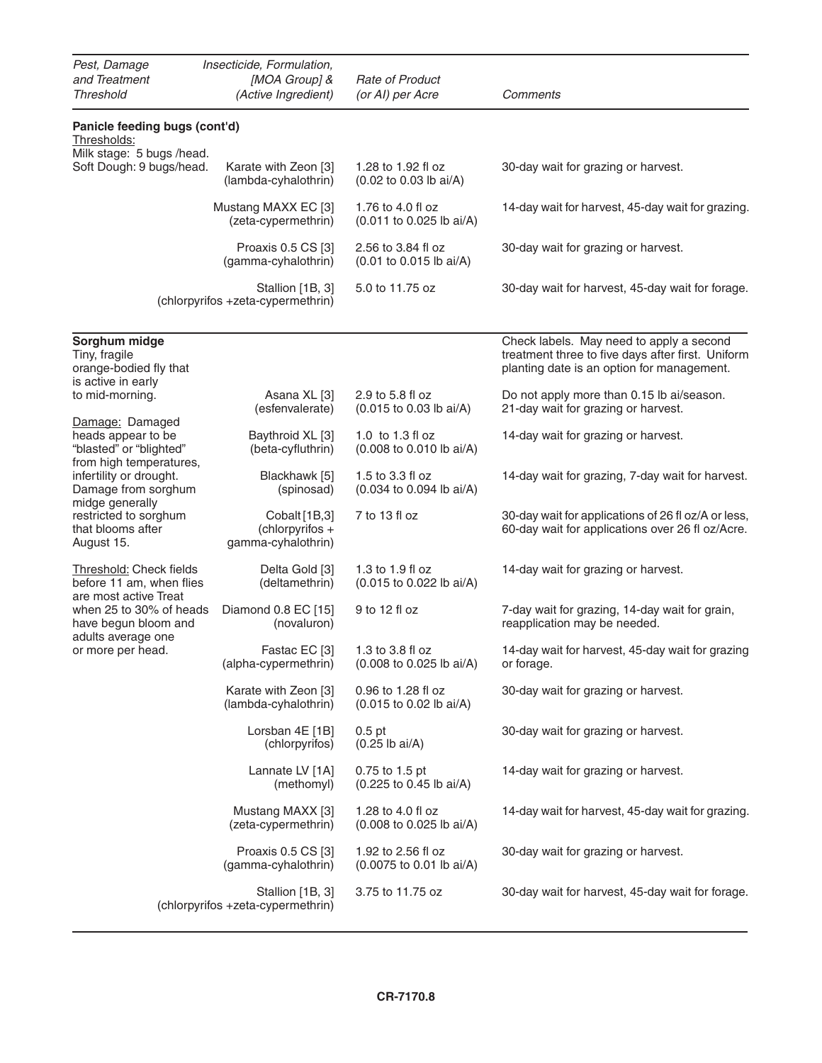| Pest, Damage<br>and Treatment<br><b>Threshold</b>                              | Insecticide, Formulation,<br>[MOA Group] &<br>(Active Ingredient) | <b>Rate of Product</b><br>(or AI) per Acre                              | Comments                                                                                                                                    |
|--------------------------------------------------------------------------------|-------------------------------------------------------------------|-------------------------------------------------------------------------|---------------------------------------------------------------------------------------------------------------------------------------------|
| Panicle feeding bugs (cont'd)<br>Thresholds:                                   |                                                                   |                                                                         |                                                                                                                                             |
| Milk stage: 5 bugs /head.<br>Soft Dough: 9 bugs/head.                          | Karate with Zeon [3]<br>(lambda-cyhalothrin)                      | 1.28 to 1.92 fl oz<br>$(0.02 \text{ to } 0.03 \text{ lb } \text{ai/A})$ | 30-day wait for grazing or harvest.                                                                                                         |
|                                                                                | Mustang MAXX EC [3]<br>(zeta-cypermethrin)                        | 1.76 to 4.0 fl oz<br>(0.011 to 0.025 lb ai/A)                           | 14-day wait for harvest, 45-day wait for grazing.                                                                                           |
|                                                                                | Proaxis 0.5 CS [3]<br>(gamma-cyhalothrin)                         | 2.56 to 3.84 fl oz<br>(0.01 to 0.015 lb ai/A)                           | 30-day wait for grazing or harvest.                                                                                                         |
|                                                                                | Stallion [1B, 3]<br>(chlorpyrifos +zeta-cypermethrin)             | 5.0 to 11.75 oz                                                         | 30-day wait for harvest, 45-day wait for forage.                                                                                            |
|                                                                                |                                                                   |                                                                         |                                                                                                                                             |
| Sorghum midge<br>Tiny, fragile<br>orange-bodied fly that<br>is active in early |                                                                   |                                                                         | Check labels. May need to apply a second<br>treatment three to five days after first. Uniform<br>planting date is an option for management. |
| to mid-morning.<br>Damage: Damaged                                             | Asana XL [3]<br>(esfenvalerate)                                   | 2.9 to 5.8 fl oz<br>(0.015 to 0.03 lb ai/A)                             | Do not apply more than 0.15 lb ai/season.<br>21-day wait for grazing or harvest.                                                            |
| heads appear to be<br>"blasted" or "blighted"<br>from high temperatures,       | Baythroid XL [3]<br>(beta-cyfluthrin)                             | 1.0 to 1.3 fl oz<br>(0.008 to 0.010 lb ai/A)                            | 14-day wait for grazing or harvest.                                                                                                         |
| infertility or drought.<br>Damage from sorghum<br>midge generally              | Blackhawk [5]<br>(spinosad)                                       | 1.5 to 3.3 fl oz<br>$(0.034 \text{ to } 0.094 \text{ lb } \text{ai/A})$ | 14-day wait for grazing, 7-day wait for harvest.                                                                                            |
| restricted to sorghum<br>that blooms after<br>August 15.                       | Cobalt [1B,3]<br>(chlorpyrifos +<br>gamma-cyhalothrin)            | 7 to 13 fl oz                                                           | 30-day wait for applications of 26 fl oz/A or less,<br>60-day wait for applications over 26 fl oz/Acre.                                     |
| Threshold: Check fields<br>before 11 am, when flies<br>are most active Treat   | Delta Gold [3]<br>(deltamethrin)                                  | 1.3 to 1.9 fl oz<br>(0.015 to 0.022 lb ai/A)                            | 14-day wait for grazing or harvest.                                                                                                         |
| when 25 to 30% of heads<br>have begun bloom and<br>adults average one          | Diamond 0.8 EC [15]<br>(novaluron)                                | 9 to 12 fl oz                                                           | 7-day wait for grazing, 14-day wait for grain,<br>reapplication may be needed.                                                              |
| or more per head.                                                              | Fastac EC [3]<br>(alpha-cypermethrin)                             | 1.3 to 3.8 fl oz<br>$(0.008 \text{ to } 0.025 \text{ lb } \text{ai/A})$ | 14-day wait for harvest, 45-day wait for grazing<br>or forage.                                                                              |
|                                                                                | Karate with Zeon [3]<br>(lambda-cyhalothrin)                      | 0.96 to 1.28 fl oz<br>(0.015 to 0.02 lb ai/A)                           | 30-day wait for grazing or harvest.                                                                                                         |
|                                                                                | Lorsban 4E [1B]<br>(chlorpyrifos)                                 | $0.5$ pt<br>$(0.25$ lb ai/A)                                            | 30-day wait for grazing or harvest.                                                                                                         |
|                                                                                | Lannate LV [1A]<br>(methomyl)                                     | 0.75 to 1.5 pt<br>(0.225 to 0.45 lb ai/A)                               | 14-day wait for grazing or harvest.                                                                                                         |
|                                                                                | Mustang MAXX [3]<br>(zeta-cypermethrin)                           | 1.28 to 4.0 fl oz<br>(0.008 to 0.025 lb ai/A)                           | 14-day wait for harvest, 45-day wait for grazing.                                                                                           |
|                                                                                | Proaxis 0.5 CS [3]<br>(gamma-cyhalothrin)                         | 1.92 to 2.56 fl oz<br>(0.0075 to 0.01 lb ai/A)                          | 30-day wait for grazing or harvest.                                                                                                         |
|                                                                                | Stallion [1B, 3]<br>(chlorpyrifos +zeta-cypermethrin)             | 3.75 to 11.75 oz                                                        | 30-day wait for harvest, 45-day wait for forage.                                                                                            |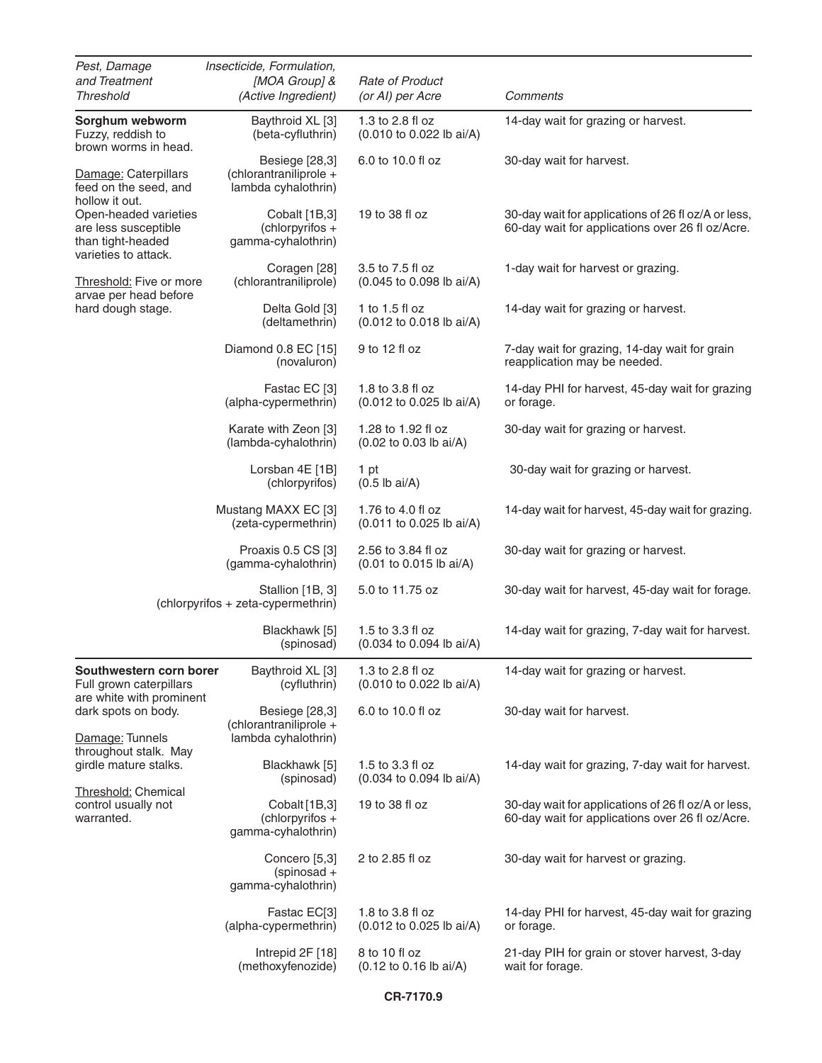| Pest, Damage<br>and Treatment<br><b>Threshold</b>                                                                                                    | Insecticide, Formulation,<br>[MOA Group] &<br>(Active Ingredient) | <b>Rate of Product</b><br>(or AI) per Acre    | Comments                                                                                                |
|------------------------------------------------------------------------------------------------------------------------------------------------------|-------------------------------------------------------------------|-----------------------------------------------|---------------------------------------------------------------------------------------------------------|
| Sorghum webworm<br>Fuzzy, reddish to<br>brown worms in head.                                                                                         | Baythroid XL [3]<br>(beta-cyfluthrin)                             | 1.3 to 2.8 fl oz<br>(0.010 to 0.022 lb ai/A)  | 14-day wait for grazing or harvest.                                                                     |
| Damage: Caterpillars<br>feed on the seed, and<br>hollow it out.                                                                                      | Besiege [28,3]<br>(chlorantraniliprole +<br>lambda cyhalothrin)   | 6.0 to 10.0 fl oz                             | 30-day wait for harvest.                                                                                |
| Open-headed varieties<br>are less susceptible<br>than tight-headed<br>varieties to attack.                                                           | Cobalt [1B,3]<br>(chlorpyrifos +<br>gamma-cyhalothrin)            | 19 to 38 fl oz                                | 30-day wait for applications of 26 fl oz/A or less,<br>60-day wait for applications over 26 fl oz/Acre. |
| Threshold: Five or more<br>arvae per head before                                                                                                     | Coragen [28]<br>(chlorantraniliprole)                             | 3.5 to 7.5 fl oz<br>(0.045 to 0.098 lb ai/A)  | 1-day wait for harvest or grazing.                                                                      |
| hard dough stage.                                                                                                                                    | Delta Gold [3]<br>(deltamethrin)                                  | 1 to 1.5 fl oz<br>(0.012 to 0.018 lb ai/A)    | 14-day wait for grazing or harvest.                                                                     |
|                                                                                                                                                      | Diamond 0.8 EC [15]<br>(novaluron)                                | 9 to 12 fl oz                                 | 7-day wait for grazing, 14-day wait for grain<br>reapplication may be needed.                           |
|                                                                                                                                                      | Fastac EC [3]<br>(alpha-cypermethrin)                             | 1.8 to 3.8 fl oz<br>(0.012 to 0.025 lb ai/A)  | 14-day PHI for harvest, 45-day wait for grazing<br>or forage.                                           |
|                                                                                                                                                      | Karate with Zeon [3]<br>(lambda-cyhalothrin)                      | 1.28 to 1.92 fl oz<br>(0.02 to 0.03 lb ai/A)  | 30-day wait for grazing or harvest.                                                                     |
|                                                                                                                                                      | Lorsban 4E [1B]<br>(chlorpyrifos)                                 | 1 pt<br>$(0.5$ lb ai/A)                       | 30-day wait for grazing or harvest.                                                                     |
|                                                                                                                                                      | Mustang MAXX EC [3]<br>(zeta-cypermethrin)                        | 1.76 to 4.0 fl oz<br>(0.011 to 0.025 lb ai/A) | 14-day wait for harvest, 45-day wait for grazing.                                                       |
|                                                                                                                                                      | Proaxis 0.5 CS [3]<br>(gamma-cyhalothrin)                         | 2.56 to 3.84 fl oz<br>(0.01 to 0.015 lb ai/A) | 30-day wait for grazing or harvest.                                                                     |
|                                                                                                                                                      | Stallion [1B, 3]<br>(chlorpyrifos + zeta-cypermethrin)            | 5.0 to 11.75 oz                               | 30-day wait for harvest, 45-day wait for forage.                                                        |
|                                                                                                                                                      | Blackhawk [5]<br>(spinosad)                                       | 1.5 to 3.3 fl oz<br>(0.034 to 0.094 lb ai/A)  | 14-day wait for grazing, 7-day wait for harvest.                                                        |
| Southwestern corn borer<br>Full grown caterpillars<br>are white with prominent                                                                       | Baythroid XL [3]<br>(cyfluthrin)                                  | 1.3 to 2.8 fl oz<br>(0.010 to 0.022 lb ai/A)  | 14-day wait for grazing or harvest.                                                                     |
| dark spots on body.<br>Damage: Tunnels<br>throughout stalk. May<br>girdle mature stalks.<br>Threshold: Chemical<br>control usually not<br>warranted. | Besiege [28,3]<br>(chlorantraniliprole +<br>lambda cyhalothrin)   | 6.0 to 10.0 fl oz                             | 30-day wait for harvest.                                                                                |
|                                                                                                                                                      | Blackhawk [5]<br>(spinosad)                                       | 1.5 to 3.3 fl oz<br>(0.034 to 0.094 lb ai/A)  | 14-day wait for grazing, 7-day wait for harvest.                                                        |
|                                                                                                                                                      | Cobalt [1B,3]<br>(chlorpyrifos +<br>gamma-cyhalothrin)            | 19 to 38 fl oz                                | 30-day wait for applications of 26 fl oz/A or less,<br>60-day wait for applications over 26 fl oz/Acre. |
|                                                                                                                                                      | Concero [5,3]<br>$(spinosad +$<br>gamma-cyhalothrin)              | 2 to 2.85 fl oz                               | 30-day wait for harvest or grazing.                                                                     |
|                                                                                                                                                      | Fastac EC[3]<br>(alpha-cypermethrin)                              | 1.8 to 3.8 fl oz<br>(0.012 to 0.025 lb ai/A)  | 14-day PHI for harvest, 45-day wait for grazing<br>or forage.                                           |
|                                                                                                                                                      | Intrepid 2F [18]<br>(methoxyfenozide)                             | 8 to 10 fl oz<br>(0.12 to 0.16 lb ai/A)       | 21-day PIH for grain or stover harvest, 3-day<br>wait for forage.                                       |

**CR-7170.9**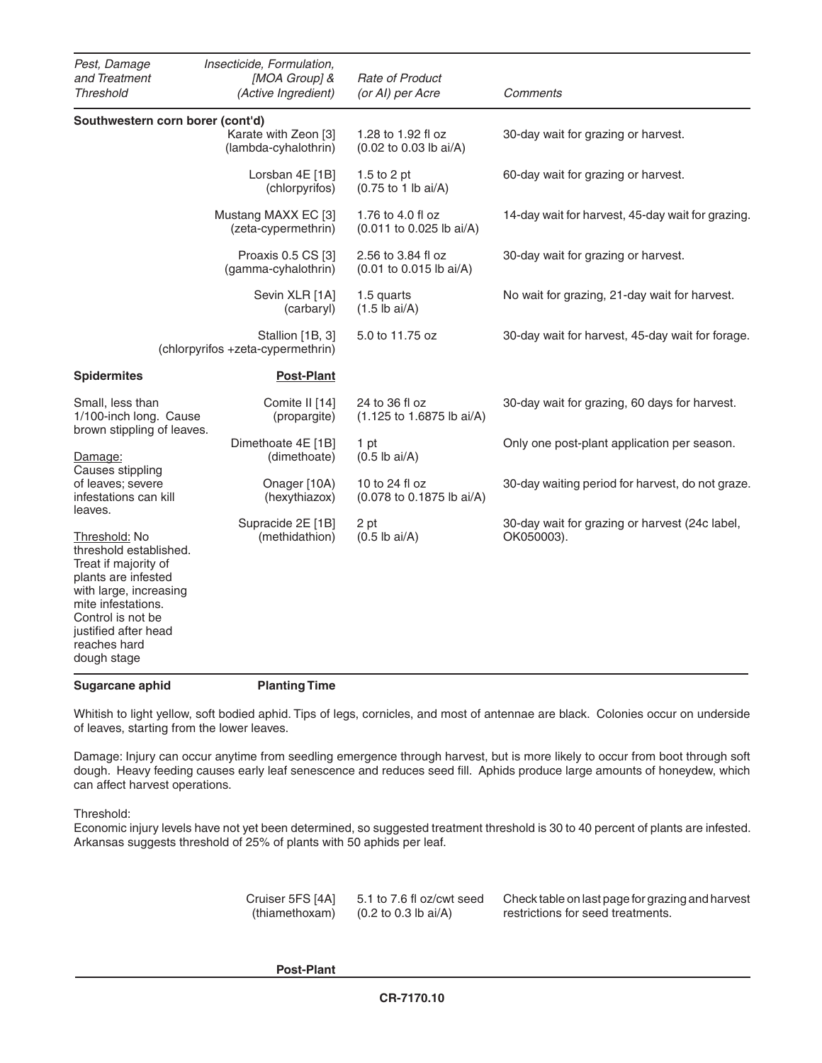| and Treatment<br>[MOA Group] &<br><b>Rate of Product</b><br><b>Threshold</b><br>(Active Ingredient)<br>(or AI) per Acre<br>Comments<br>Southwestern corn borer (cont'd)<br>Karate with Zeon [3]<br>1.28 to 1.92 fl oz<br>30-day wait for grazing or harvest.<br>(lambda-cyhalothrin)<br>$(0.02 \text{ to } 0.03 \text{ lb } \text{ai/A})$<br>Lorsban 4E [1B]<br>60-day wait for grazing or harvest.<br>1.5 to 2 pt<br>$(0.75 \text{ to } 1 \text{ lb } \text{ai/A})$<br>(chlorpyrifos)<br>1.76 to 4.0 fl oz<br>Mustang MAXX EC [3]<br>(0.011 to 0.025 lb ai/A)<br>(zeta-cypermethrin)<br>2.56 to 3.84 fl oz<br>Proaxis 0.5 CS [3]<br>30-day wait for grazing or harvest.<br>(gamma-cyhalothrin)<br>(0.01 to 0.015 lb ai/A)<br>Sevin XLR [1A]<br>1.5 quarts<br>(carbaryl)<br>$(1.5$ lb ai/A)<br>5.0 to 11.75 oz<br>Stallion [1B, 3]<br>(chlorpyrifos +zeta-cypermethrin)<br><b>Spidermites</b><br><b>Post-Plant</b><br>24 to 36 fl oz<br>Small, less than<br>Comite II [14]<br>1/100-inch long. Cause<br>(propargite)<br>(1.125 to 1.6875 lb ai/A)<br>brown stippling of leaves.<br>Dimethoate 4E [1B]<br>1 pt<br>$(0.5$ lb ai/A)<br>Damage:<br>(dimethoate)<br>Causes stippling<br>10 to 24 fl oz<br>of leaves; severe<br>Onager [10A)<br>infestations can kill<br>(hexythiazox)<br>(0.078 to 0.1875 lb ai/A)<br>leaves.<br>Supracide 2E [1B]<br>30-day wait for grazing or harvest (24c label,<br>2 pt<br>(methidathion)<br>$(0.5$ lb ai/A)<br>OK050003).<br>Threshold: No<br>threshold established.<br>Treat if majority of<br>plants are infested<br>with large, increasing<br>mite infestations.<br>Control is not be<br>justified after head<br>reaches hard<br>dough stage | Sugarcane aphid | <b>Planting Time</b>      |                                                   |
|----------------------------------------------------------------------------------------------------------------------------------------------------------------------------------------------------------------------------------------------------------------------------------------------------------------------------------------------------------------------------------------------------------------------------------------------------------------------------------------------------------------------------------------------------------------------------------------------------------------------------------------------------------------------------------------------------------------------------------------------------------------------------------------------------------------------------------------------------------------------------------------------------------------------------------------------------------------------------------------------------------------------------------------------------------------------------------------------------------------------------------------------------------------------------------------------------------------------------------------------------------------------------------------------------------------------------------------------------------------------------------------------------------------------------------------------------------------------------------------------------------------------------------------------------------------------------------------------------------------------------------------------------------------------------------|-----------------|---------------------------|---------------------------------------------------|
|                                                                                                                                                                                                                                                                                                                                                                                                                                                                                                                                                                                                                                                                                                                                                                                                                                                                                                                                                                                                                                                                                                                                                                                                                                                                                                                                                                                                                                                                                                                                                                                                                                                                                  |                 |                           |                                                   |
|                                                                                                                                                                                                                                                                                                                                                                                                                                                                                                                                                                                                                                                                                                                                                                                                                                                                                                                                                                                                                                                                                                                                                                                                                                                                                                                                                                                                                                                                                                                                                                                                                                                                                  |                 |                           | 30-day waiting period for harvest, do not graze.  |
|                                                                                                                                                                                                                                                                                                                                                                                                                                                                                                                                                                                                                                                                                                                                                                                                                                                                                                                                                                                                                                                                                                                                                                                                                                                                                                                                                                                                                                                                                                                                                                                                                                                                                  |                 |                           | Only one post-plant application per season.       |
|                                                                                                                                                                                                                                                                                                                                                                                                                                                                                                                                                                                                                                                                                                                                                                                                                                                                                                                                                                                                                                                                                                                                                                                                                                                                                                                                                                                                                                                                                                                                                                                                                                                                                  |                 |                           | 30-day wait for grazing, 60 days for harvest.     |
|                                                                                                                                                                                                                                                                                                                                                                                                                                                                                                                                                                                                                                                                                                                                                                                                                                                                                                                                                                                                                                                                                                                                                                                                                                                                                                                                                                                                                                                                                                                                                                                                                                                                                  |                 |                           |                                                   |
|                                                                                                                                                                                                                                                                                                                                                                                                                                                                                                                                                                                                                                                                                                                                                                                                                                                                                                                                                                                                                                                                                                                                                                                                                                                                                                                                                                                                                                                                                                                                                                                                                                                                                  |                 |                           | 30-day wait for harvest, 45-day wait for forage.  |
|                                                                                                                                                                                                                                                                                                                                                                                                                                                                                                                                                                                                                                                                                                                                                                                                                                                                                                                                                                                                                                                                                                                                                                                                                                                                                                                                                                                                                                                                                                                                                                                                                                                                                  |                 |                           | No wait for grazing, 21-day wait for harvest.     |
|                                                                                                                                                                                                                                                                                                                                                                                                                                                                                                                                                                                                                                                                                                                                                                                                                                                                                                                                                                                                                                                                                                                                                                                                                                                                                                                                                                                                                                                                                                                                                                                                                                                                                  |                 |                           |                                                   |
|                                                                                                                                                                                                                                                                                                                                                                                                                                                                                                                                                                                                                                                                                                                                                                                                                                                                                                                                                                                                                                                                                                                                                                                                                                                                                                                                                                                                                                                                                                                                                                                                                                                                                  |                 |                           | 14-day wait for harvest, 45-day wait for grazing. |
|                                                                                                                                                                                                                                                                                                                                                                                                                                                                                                                                                                                                                                                                                                                                                                                                                                                                                                                                                                                                                                                                                                                                                                                                                                                                                                                                                                                                                                                                                                                                                                                                                                                                                  |                 |                           |                                                   |
|                                                                                                                                                                                                                                                                                                                                                                                                                                                                                                                                                                                                                                                                                                                                                                                                                                                                                                                                                                                                                                                                                                                                                                                                                                                                                                                                                                                                                                                                                                                                                                                                                                                                                  |                 |                           |                                                   |
|                                                                                                                                                                                                                                                                                                                                                                                                                                                                                                                                                                                                                                                                                                                                                                                                                                                                                                                                                                                                                                                                                                                                                                                                                                                                                                                                                                                                                                                                                                                                                                                                                                                                                  | Pest, Damage    | Insecticide, Formulation, |                                                   |

Whitish to light yellow, soft bodied aphid. Tips of legs, cornicles, and most of antennae are black. Colonies occur on underside of leaves, starting from the lower leaves.

Damage: Injury can occur anytime from seedling emergence through harvest, but is more likely to occur from boot through soft dough. Heavy feeding causes early leaf senescence and reduces seed fill. Aphids produce large amounts of honeydew, which can affect harvest operations.

Threshold:

Economic injury levels have not yet been determined, so suggested treatment threshold is 30 to 40 percent of plants are infested. Arkansas suggests threshold of 25% of plants with 50 aphids per leaf.

> Cruiser 5FS [4A] 5.1 to 7.6 fl oz/cwt seed Check table on last page for grazing and harvest<br>(thiamethoxam) (0.2 to 0.3 lb ai/A) restrictions for seed treatments. restrictions for seed treatments.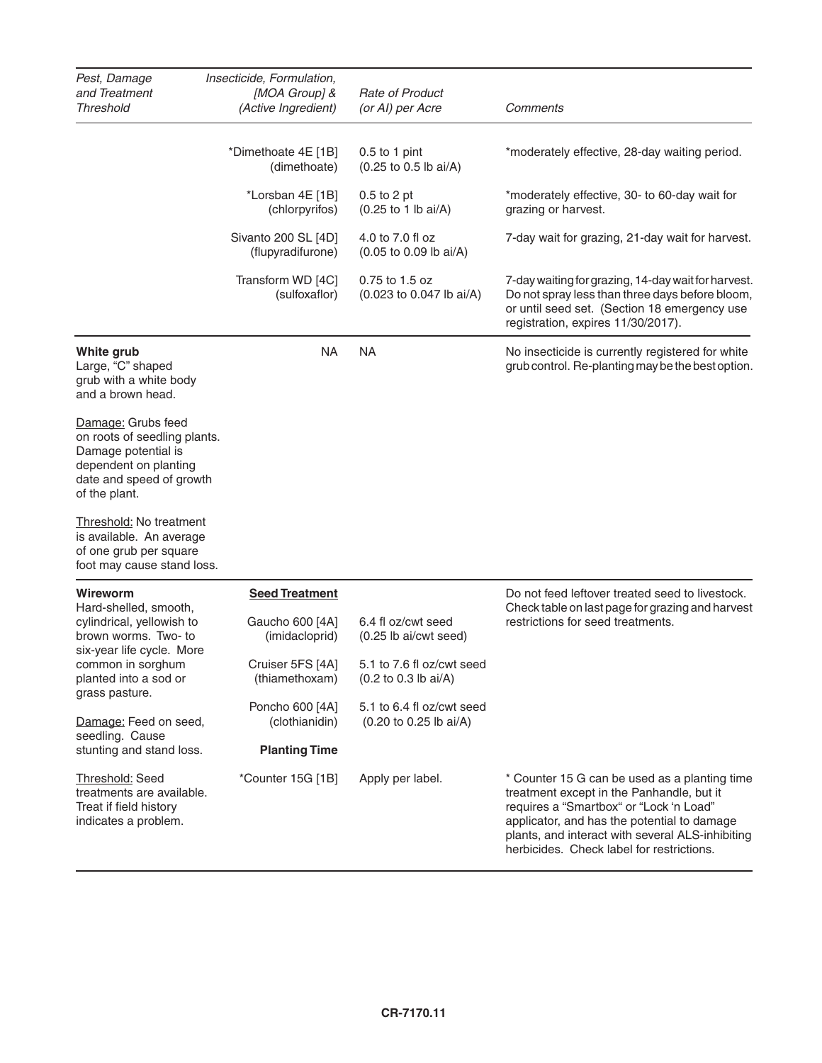| Pest, Damage<br>and Treatment<br><b>Threshold</b>                                                                                               | Insecticide, Formulation,<br>[MOA Group] &<br>(Active Ingredient) | <b>Rate of Product</b><br>(or AI) per Acre                                   | Comments                                                                                                                                                                                                                                                                              |
|-------------------------------------------------------------------------------------------------------------------------------------------------|-------------------------------------------------------------------|------------------------------------------------------------------------------|---------------------------------------------------------------------------------------------------------------------------------------------------------------------------------------------------------------------------------------------------------------------------------------|
|                                                                                                                                                 | *Dimethoate 4E [1B]<br>(dimethoate)                               | $0.5$ to 1 pint<br>(0.25 to 0.5 lb ai/A)                                     | *moderately effective, 28-day waiting period.                                                                                                                                                                                                                                         |
|                                                                                                                                                 | *Lorsban 4E [1B]<br>(chlorpyrifos)                                | $0.5$ to 2 pt<br>$(0.25 \text{ to } 1 \text{ lb } \text{ai/A})$              | *moderately effective, 30- to 60-day wait for<br>grazing or harvest.                                                                                                                                                                                                                  |
|                                                                                                                                                 | Sivanto 200 SL [4D]<br>(flupyradifurone)                          | 4.0 to 7.0 fl oz<br>(0.05 to 0.09 lb ai/A)                                   | 7-day wait for grazing, 21-day wait for harvest.                                                                                                                                                                                                                                      |
|                                                                                                                                                 | Transform WD [4C]<br>(sulfoxaflor)                                | 0.75 to 1.5 oz<br>(0.023 to 0.047 lb ai/A)                                   | 7-day waiting for grazing, 14-day wait for harvest.<br>Do not spray less than three days before bloom,<br>or until seed set. (Section 18 emergency use<br>registration, expires 11/30/2017).                                                                                          |
| White grub<br>Large, "C" shaped<br>grub with a white body<br>and a brown head.                                                                  | <b>NA</b>                                                         | <b>NA</b>                                                                    | No insecticide is currently registered for white<br>grub control. Re-planting may be the best option.                                                                                                                                                                                 |
| Damage: Grubs feed<br>on roots of seedling plants.<br>Damage potential is<br>dependent on planting<br>date and speed of growth<br>of the plant. |                                                                   |                                                                              |                                                                                                                                                                                                                                                                                       |
| Threshold: No treatment<br>is available. An average<br>of one grub per square<br>foot may cause stand loss.                                     |                                                                   |                                                                              |                                                                                                                                                                                                                                                                                       |
| Wireworm<br>Hard-shelled, smooth,                                                                                                               | <b>Seed Treatment</b>                                             |                                                                              | Do not feed leftover treated seed to livestock.<br>Check table on last page for grazing and harvest                                                                                                                                                                                   |
| cylindrical, yellowish to<br>brown worms. Two- to<br>six-year life cycle. More                                                                  | Gaucho 600 [4A]<br>(imidacloprid)                                 | 6.4 fl oz/cwt seed<br>(0.25 lb ai/cwt seed)                                  | restrictions for seed treatments.                                                                                                                                                                                                                                                     |
| common in sorghum<br>planted into a sod or<br>grass pasture.                                                                                    | Cruiser 5FS [4A]<br>(thiamethoxam)                                | 5.1 to 7.6 fl oz/cwt seed<br>$(0.2 \text{ to } 0.3 \text{ lb } \text{ai/A})$ |                                                                                                                                                                                                                                                                                       |
| Damage: Feed on seed,<br>seedling. Cause                                                                                                        | Poncho 600 [4A]<br>(clothianidin)                                 | 5.1 to 6.4 fl oz/cwt seed<br>(0.20 to 0.25 lb ai/A)                          |                                                                                                                                                                                                                                                                                       |
| stunting and stand loss.                                                                                                                        | <b>Planting Time</b>                                              |                                                                              |                                                                                                                                                                                                                                                                                       |
| Threshold: Seed<br>treatments are available.<br>Treat if field history<br>indicates a problem.                                                  | *Counter 15G [1B]                                                 | Apply per label.                                                             | * Counter 15 G can be used as a planting time<br>treatment except in the Panhandle, but it<br>requires a "Smartbox" or "Lock 'n Load"<br>applicator, and has the potential to damage<br>plants, and interact with several ALS-inhibiting<br>herbicides. Check label for restrictions. |